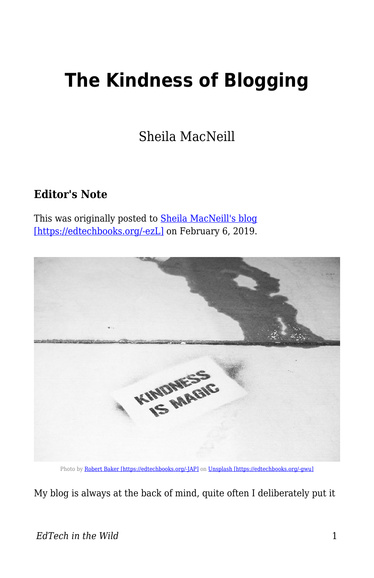## **The Kindness of Blogging**

Sheila MacNeill

## **Editor's Note**

This was originally posted to **Sheila MacNeill's blog** [\[https://edtechbooks.org/-ezL\]](https://howsheilaseesit.net/digitalcapability/the-kindness-of-blogging/) on February 6, 2019.



Photo by [Robert Baker \[https://edtechbooks.org/-JAP\]](https://unsplash.com/photos/D31DC07KZds?utm_source=unsplash&utm_medium=referral&utm_content=creditCopyText) on [Unsplash \[https://edtechbooks.org/-gwu\]](https://unsplash.com/search/photos/kindness?utm_source=unsplash&utm_medium=referral&utm_content=creditCopyText)

My blog is always at the back of mind, quite often I deliberately put it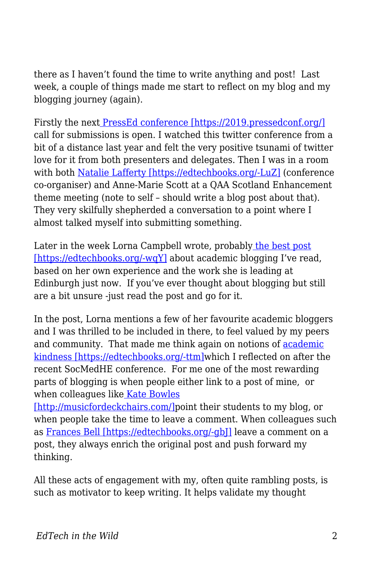there as I haven't found the time to write anything and post! Last week, a couple of things made me start to reflect on my blog and my blogging journey (again).

Firstly the next [PressEd conference \[https://2019.pressedconf.org/\]](https://2019.pressedconf.org/) call for submissions is open. I watched this twitter conference from a bit of a distance last year and felt the very positive tsunami of twitter love for it from both presenters and delegates. Then I was in a room with both [Natalie Lafferty \[https://edtechbooks.org/-LuZ\]](https://twitter.com/nlafferty?lang=en) (conference co-organiser) and Anne-Marie Scott at a QAA Scotland Enhancement theme meeting (note to self – should write a blog post about that). They very skilfully shepherded a conversation to a point where I almost talked myself into submitting something.

Later in the week Lorna Campbell wrote, probably [the best post](http://lornamcampbell.org/blogging/have-no-fear-learning-to-love-your-blog/) [\[https://edtechbooks.org/-wqY\]](http://lornamcampbell.org/blogging/have-no-fear-learning-to-love-your-blog/) about academic blogging I've read, based on her own experience and the work she is leading at Edinburgh just now. If you've ever thought about blogging but still are a bit unsure -just read the post and go for it.

In the post, Lorna mentions a few of her favourite academic bloggers and I was thrilled to be included in there, to feel valued by my peers and community. That made me think again on notions of [academic](https://howsheilaseesit.net/general/some-reflections-fromsocmedhe18/) [kindness \[https://edtechbooks.org/-ttm\]](https://howsheilaseesit.net/general/some-reflections-fromsocmedhe18/)which I reflected on after the recent SocMedHE conference. For me one of the most rewarding parts of blogging is when people either link to a post of mine, or when colleagues lik[e Kate Bowles](http://musicfordeckchairs.com/)

[\[http://musicfordeckchairs.com/\]](http://musicfordeckchairs.com/)point their students to my blog, or when people take the time to leave a comment. When colleagues such as [Frances Bell \[https://edtechbooks.org/-gbJ\]](https://francesbell.com/all-the-blog/) leave a comment on a post, they always enrich the original post and push forward my thinking.

All these acts of engagement with my, often quite rambling posts, is such as motivator to keep writing. It helps validate my thought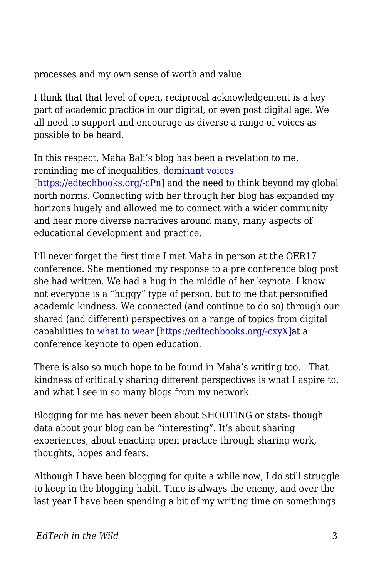processes and my own sense of worth and value.

I think that that level of open, reciprocal acknowledgement is a key part of academic practice in our digital, or even post digital age. We all need to support and encourage as diverse a range of voices as possible to be heard.

In this respect, Maha Bali's blog has been a revelation to me, reminding me of inequalities[, dominant voices](https://blog.mahabali.me/whyopen/how-little-people-can-be-invisible-in-the-open-cccert/) [\[https://edtechbooks.org/-cPn\]](https://blog.mahabali.me/whyopen/how-little-people-can-be-invisible-in-the-open-cccert/) and the need to think beyond my global north norms. Connecting with her through her blog has expanded my horizons hugely and allowed me to connect with a wider community and hear more diverse narratives around many, many aspects of educational development and practice.

I'll never forget the first time I met Maha in person at the OER17 conference. She mentioned my response to a pre conference blog post she had written. We had a hug in the middle of her keynote. I know not everyone is a "huggy" type of person, but to me that personified academic kindness. We connected (and continue to do so) through our shared (and different) perspectives on a range of topics from digital capabilities to [what to wear \[https://edtechbooks.org/-cxyX\]a](https://howsheilaseesit.net/uncategorized/not-so-much-the-a-case-of-the-wrong-trousers-more-like-a-wardrobe-malfunction-my-story-for-oer17/)t a conference keynote to open education.

There is also so much hope to be found in Maha's writing too. That kindness of critically sharing different perspectives is what I aspire to, and what I see in so many blogs from my network.

Blogging for me has never been about SHOUTING or stats- though data about your blog can be "interesting". It's about sharing experiences, about enacting open practice through sharing work, thoughts, hopes and fears.

Although I have been blogging for quite a while now, I do still struggle to keep in the blogging habit. Time is always the enemy, and over the last year I have been spending a bit of my writing time on somethings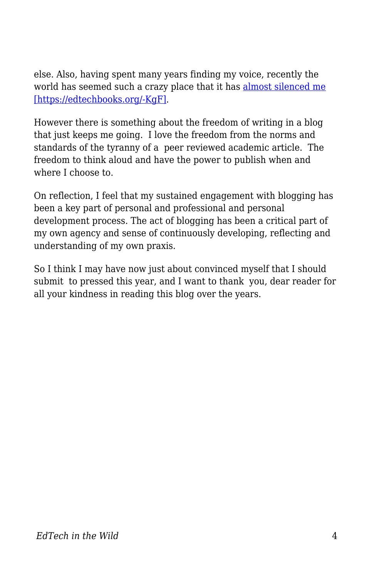else. Also, having spent many years finding my voice, recently the world has seemed such a crazy place that it has [almost silenced me](https://howsheilaseesit.net/politics/5-years-on-and-struggling-with-my-silence/) [\[https://edtechbooks.org/-KgF\]](https://howsheilaseesit.net/politics/5-years-on-and-struggling-with-my-silence/).

However there is something about the freedom of writing in a blog that just keeps me going. I love the freedom from the norms and standards of the tyranny of a peer reviewed academic article. The freedom to think aloud and have the power to publish when and where I choose to.

On reflection, I feel that my sustained engagement with blogging has been a key part of personal and professional and personal development process. The act of blogging has been a critical part of my own agency and sense of continuously developing, reflecting and understanding of my own praxis.

So I think I may have now just about convinced myself that I should submit to pressed this year, and I want to thank you, dear reader for all your kindness in reading this blog over the years.